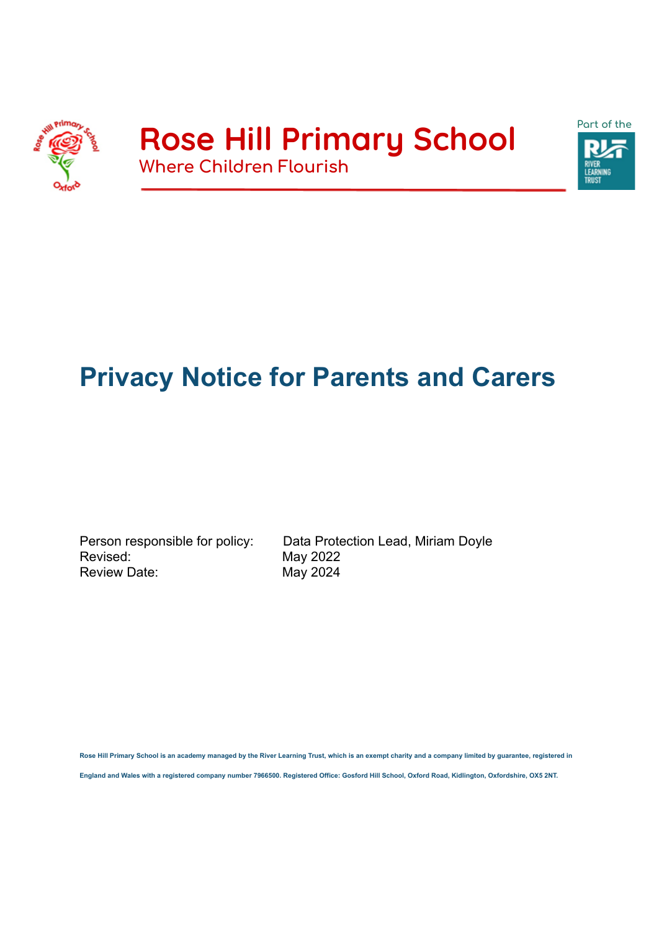



# **Privacy Notice for Parents and Carers**

Revised: May 2022 Review Date: May 2024

Person responsible for policy: Data Protection Lead, Miriam Doyle

**Rose Hill Primary School is an academy managed by the River Learning Trust, which is an exempt charity and a company limited by guarantee, registered in**

**England and Wales with a registered company number 7966500. Registered Office: Gosford Hill School, Oxford Road, Kidlington, Oxfordshire, OX5 2NT.**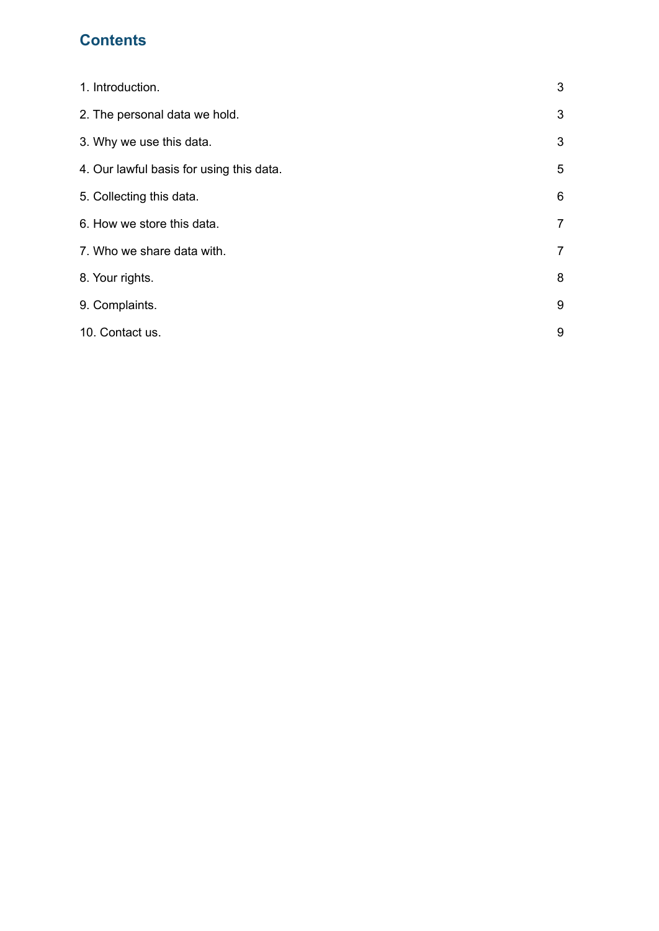### **Contents**

| 1. Introduction.                         | 3              |
|------------------------------------------|----------------|
| 2. The personal data we hold.            | 3              |
| 3. Why we use this data.                 | 3              |
| 4. Our lawful basis for using this data. | 5              |
| 5. Collecting this data.                 | 6              |
| 6. How we store this data.               | $\overline{7}$ |
| 7. Who we share data with.               | $\overline{7}$ |
| 8. Your rights.                          | 8              |
| 9. Complaints.                           | 9              |
| 10. Contact us.                          | 9              |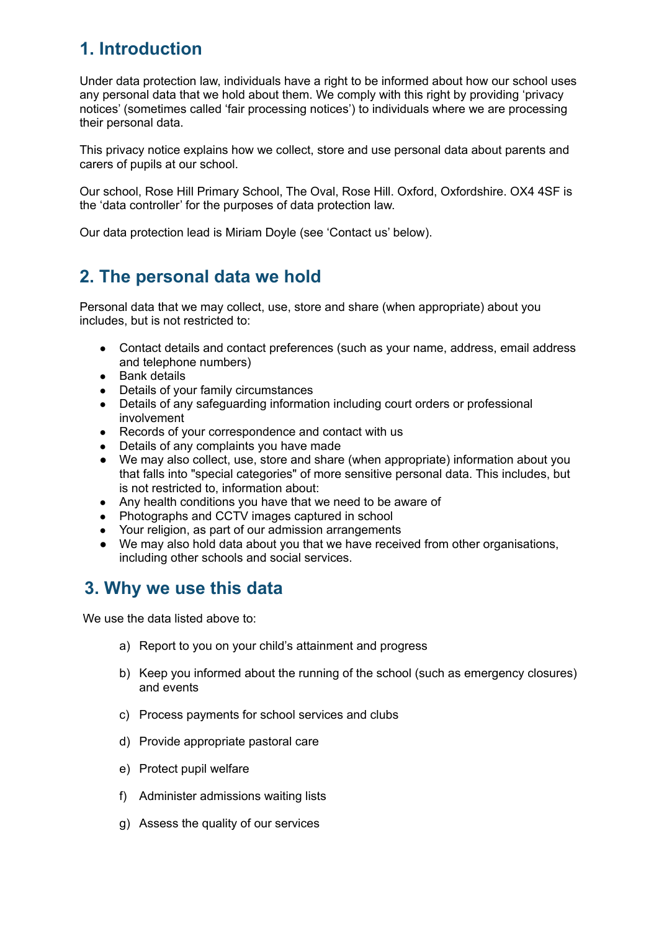# **1. Introduction**

Under data protection law, individuals have a right to be informed about how our school uses any personal data that we hold about them. We comply with this right by providing 'privacy notices' (sometimes called 'fair processing notices') to individuals where we are processing their personal data.

This privacy notice explains how we collect, store and use personal data about parents and carers of pupils at our school.

Our school, Rose Hill Primary School, The Oval, Rose Hill. Oxford, Oxfordshire. OX4 4SF is the 'data controller' for the purposes of data protection law.

Our data protection lead is Miriam Doyle (see 'Contact us' below).

# **2. The personal data we hold**

Personal data that we may collect, use, store and share (when appropriate) about you includes, but is not restricted to:

- Contact details and contact preferences (such as your name, address, email address and telephone numbers)
- Bank details
- Details of your family circumstances
- Details of any safeguarding information including court orders or professional involvement
- Records of your correspondence and contact with us
- Details of any complaints you have made
- We may also collect, use, store and share (when appropriate) information about you that falls into "special categories" of more sensitive personal data. This includes, but is not restricted to, information about:
- Any health conditions you have that we need to be aware of
- Photographs and CCTV images captured in school
- Your religion, as part of our admission arrangements
- We may also hold data about you that we have received from other organisations, including other schools and social services.

### **3. Why we use this data**

We use the data listed above to:

- a) Report to you on your child's attainment and progress
- b) Keep you informed about the running of the school (such as emergency closures) and events
- c) Process payments for school services and clubs
- d) Provide appropriate pastoral care
- e) Protect pupil welfare
- f) Administer admissions waiting lists
- g) Assess the quality of our services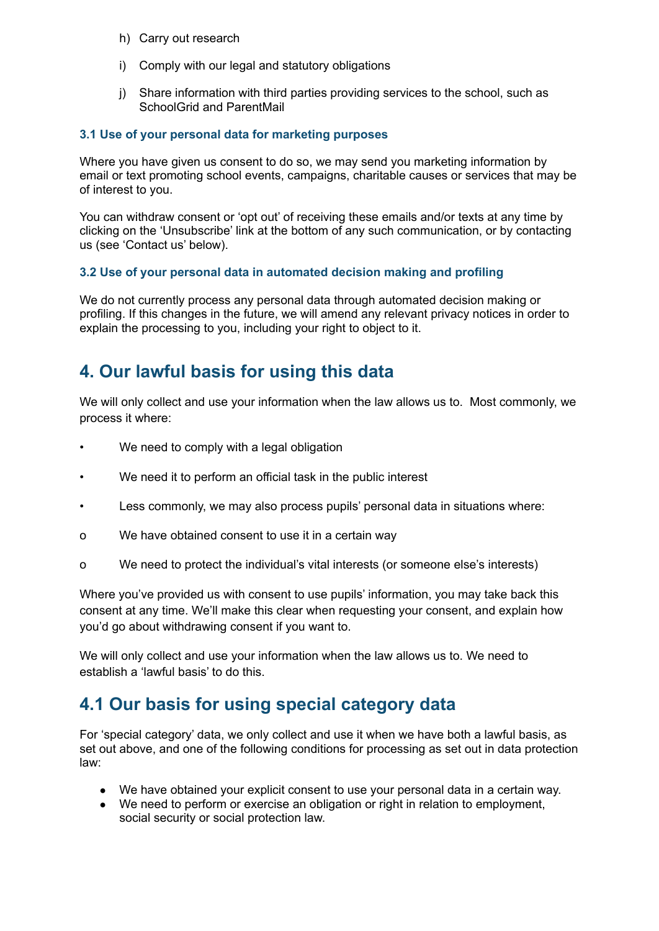- h) Carry out research
- i) Comply with our legal and statutory obligations
- j) Share information with third parties providing services to the school, such as SchoolGrid and ParentMail

#### **3.1 Use of your personal data for marketing purposes**

Where you have given us consent to do so, we may send you marketing information by email or text promoting school events, campaigns, charitable causes or services that may be of interest to you.

You can withdraw consent or 'opt out' of receiving these emails and/or texts at any time by clicking on the 'Unsubscribe' link at the bottom of any such communication, or by contacting us (see 'Contact us' below).

#### **3.2 Use of your personal data in automated decision making and profiling**

We do not currently process any personal data through automated decision making or profiling. If this changes in the future, we will amend any relevant privacy notices in order to explain the processing to you, including your right to object to it.

# **4. Our lawful basis for using this data**

We will only collect and use your information when the law allows us to. Most commonly, we process it where:

- We need to comply with a legal obligation
- We need it to perform an official task in the public interest
- Less commonly, we may also process pupils' personal data in situations where:
- o We have obtained consent to use it in a certain way
- o We need to protect the individual's vital interests (or someone else's interests)

Where you've provided us with consent to use pupils' information, you may take back this consent at any time. We'll make this clear when requesting your consent, and explain how you'd go about withdrawing consent if you want to.

We will only collect and use your information when the law allows us to. We need to establish a 'lawful basis' to do this.

# **4.1 Our basis for using special category data**

For 'special category' data, we only collect and use it when we have both a lawful basis, as set out above, and one of the following conditions for processing as set out in data protection law:

- We have obtained your explicit consent to use your personal data in a certain way.
- We need to perform or exercise an obligation or right in relation to employment, social security or social protection law.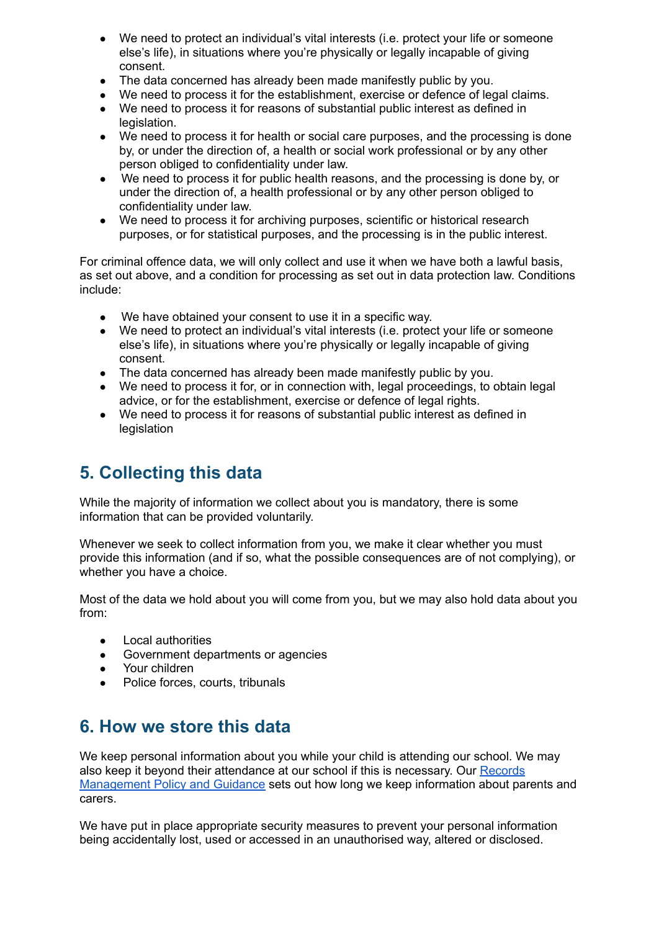- We need to protect an individual's vital interests (i.e. protect your life or someone else's life), in situations where you're physically or legally incapable of giving consent.
- The data concerned has already been made manifestly public by you.
- We need to process it for the establishment, exercise or defence of legal claims.
- We need to process it for reasons of substantial public interest as defined in legislation.
- We need to process it for health or social care purposes, and the processing is done by, or under the direction of, a health or social work professional or by any other person obliged to confidentiality under law.
- We need to process it for public health reasons, and the processing is done by, or under the direction of, a health professional or by any other person obliged to confidentiality under law.
- We need to process it for archiving purposes, scientific or historical research purposes, or for statistical purposes, and the processing is in the public interest.

For criminal offence data, we will only collect and use it when we have both a lawful basis, as set out above, and a condition for processing as set out in data protection law. Conditions include:

- We have obtained your consent to use it in a specific way.
- We need to protect an individual's vital interests (i.e. protect your life or someone else's life), in situations where you're physically or legally incapable of giving consent.
- The data concerned has already been made manifestly public by you.
- We need to process it for, or in connection with, legal proceedings, to obtain legal advice, or for the establishment, exercise or defence of legal rights.
- We need to process it for reasons of substantial public interest as defined in legislation

# **5. Collecting this data**

While the majority of information we collect about you is mandatory, there is some information that can be provided voluntarily.

Whenever we seek to collect information from you, we make it clear whether you must provide this information (and if so, what the possible consequences are of not complying), or whether you have a choice.

Most of the data we hold about you will come from you, but we may also hold data about you from:

- Local authorities
- Government departments or agencies
- Your children
- Police forces, courts, tribunals

# **6. How we store this data**

We keep personal information about you while your child is attending our school. We may also keep it beyond their attendance at our school if this is necessary. Our [Records](https://docs.google.com/document/d/1e_5FhsN2RpVEoBvcaIR0agYAa1eRbyfOufgRtJbOPlg/edit) [Management](https://docs.google.com/document/d/1e_5FhsN2RpVEoBvcaIR0agYAa1eRbyfOufgRtJbOPlg/edit) Policy and Guidance sets out how long we keep information about parents and carers.

We have put in place appropriate security measures to prevent your personal information being accidentally lost, used or accessed in an unauthorised way, altered or disclosed.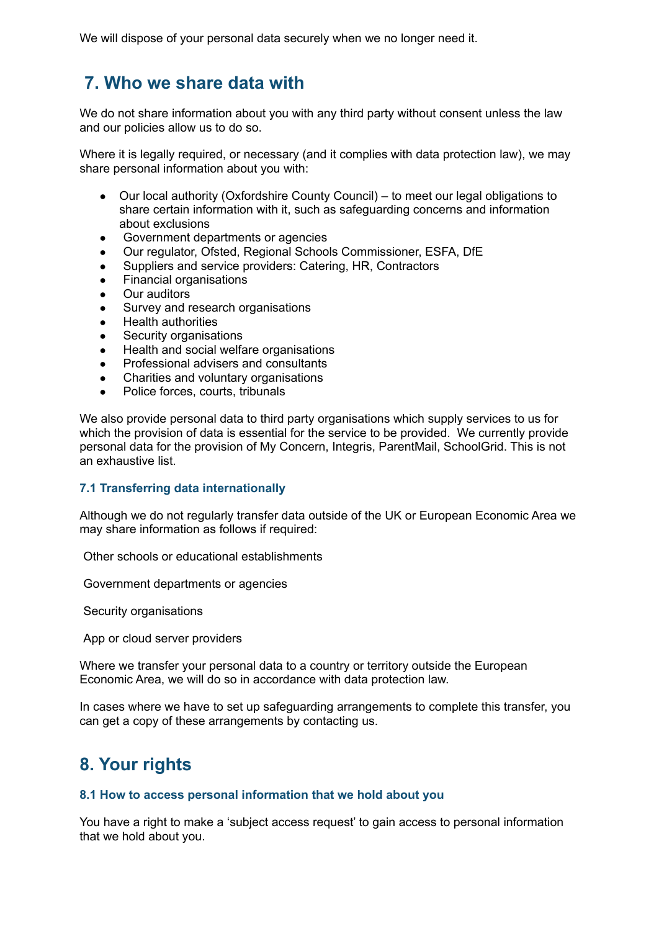We will dispose of your personal data securely when we no longer need it.

# **7. Who we share data with**

We do not share information about you with any third party without consent unless the law and our policies allow us to do so.

Where it is legally required, or necessary (and it complies with data protection law), we may share personal information about you with:

- Our local authority (Oxfordshire County Council) to meet our legal obligations to share certain information with it, such as safeguarding concerns and information about exclusions
- Government departments or agencies
- Our regulator, Ofsted, Regional Schools Commissioner, ESFA, DfE
- Suppliers and service providers: Catering, HR, Contractors
- Financial organisations
- **Our auditors**
- Survey and research organisations
- Health authorities
- Security organisations
- Health and social welfare organisations
- Professional advisers and consultants
- Charities and voluntary organisations
- Police forces, courts, tribunals

We also provide personal data to third party organisations which supply services to us for which the provision of data is essential for the service to be provided. We currently provide personal data for the provision of My Concern, Integris, ParentMail, SchoolGrid. This is not an exhaustive list.

#### **7.1 Transferring data internationally**

Although we do not regularly transfer data outside of the UK or European Economic Area we may share information as follows if required:

Other schools or educational establishments

Government departments or agencies

Security organisations

App or cloud server providers

Where we transfer your personal data to a country or territory outside the European Economic Area, we will do so in accordance with data protection law.

In cases where we have to set up safeguarding arrangements to complete this transfer, you can get a copy of these arrangements by contacting us.

# **8. Your rights**

#### **8.1 How to access personal information that we hold about you**

You have a right to make a 'subject access request' to gain access to personal information that we hold about you.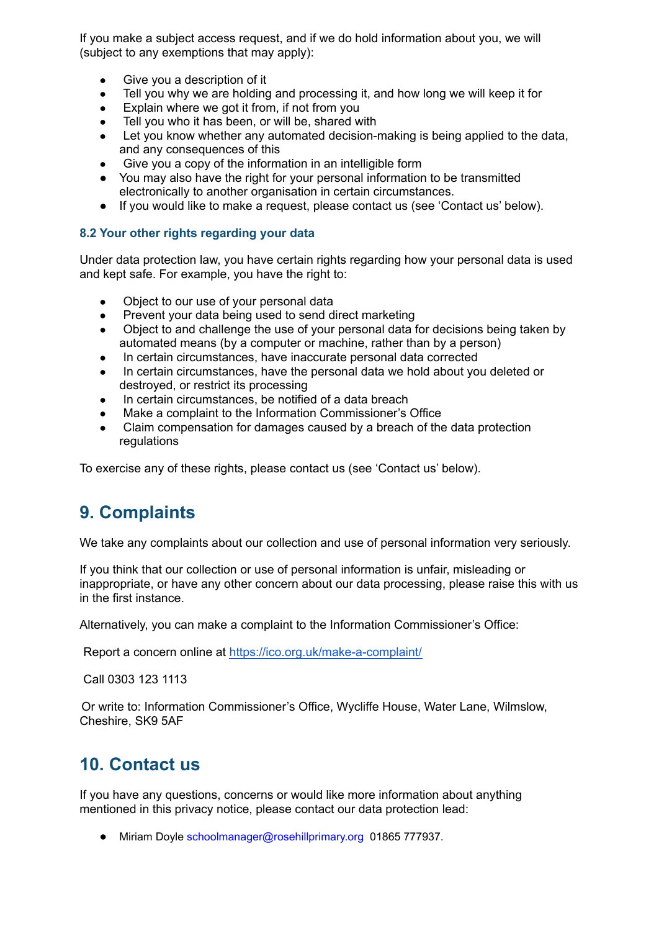If you make a subject access request, and if we do hold information about you, we will (subject to any exemptions that may apply):

- Give you a description of it
- Tell you why we are holding and processing it, and how long we will keep it for
- Explain where we got it from, if not from you
- Tell you who it has been, or will be, shared with
- Let you know whether any automated decision-making is being applied to the data, and any consequences of this
- Give you a copy of the information in an intelligible form
- You may also have the right for your personal information to be transmitted electronically to another organisation in certain circumstances.
- If you would like to make a request, please contact us (see 'Contact us' below).

#### **8.2 Your other rights regarding your data**

Under data protection law, you have certain rights regarding how your personal data is used and kept safe. For example, you have the right to:

- Object to our use of your personal data
- Prevent your data being used to send direct marketing
- Object to and challenge the use of your personal data for decisions being taken by automated means (by a computer or machine, rather than by a person)
- In certain circumstances, have inaccurate personal data corrected
- In certain circumstances, have the personal data we hold about you deleted or destroyed, or restrict its processing
- In certain circumstances, be notified of a data breach
- Make a complaint to the Information Commissioner's Office
- Claim compensation for damages caused by a breach of the data protection regulations

To exercise any of these rights, please contact us (see 'Contact us' below).

### **9. Complaints**

We take any complaints about our collection and use of personal information very seriously.

If you think that our collection or use of personal information is unfair, misleading or inappropriate, or have any other concern about our data processing, please raise this with us in the first instance.

Alternatively, you can make a complaint to the Information Commissioner's Office:

Report a concern online at <https://ico.org.uk/make-a-complaint/>

Call 0303 123 1113

Or write to: Information Commissioner's Office, Wycliffe House, Water Lane, Wilmslow, Cheshire, SK9 5AF

### **10. Contact us**

If you have any questions, concerns or would like more information about anything mentioned in this privacy notice, please contact our data protection lead:

● Miriam Doyle schoolmanager@rosehillprimary.org 01865 777937.